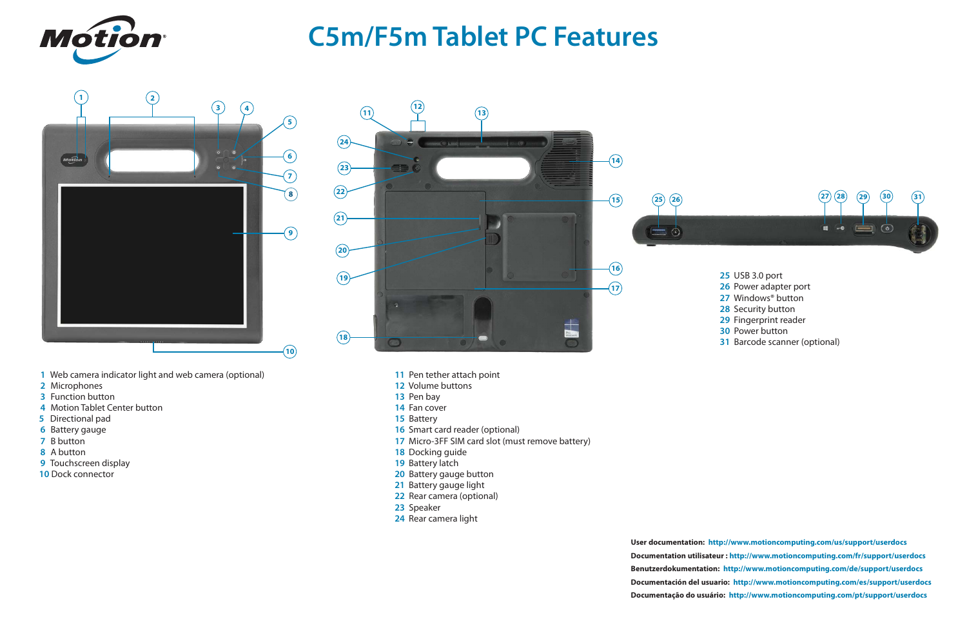







## **C5m/F5m Tablet PC Features**

- USB 3.0 port
- Power adapter port
- Windows® button
- Security button
- Fingerprint reader
- Power button
- Barcode scanner (optional)

- Pen tether attach point
- Volume buttons
- Pen bay
- Fan cover
- Battery
- Smart card reader (optional)
- Micro-3FF SIM card slot (must remove battery)
- Docking guide
- 19 Battery latch
- Battery gauge button
- Battery gauge light
- Rear camera (optional)
- Speaker
- Rear camera light
- Web camera indicator light and web camera (optional)
- Microphones
- Function button
- Motion Tablet Center button
- Directional pad
- Battery gauge
- B button
- A button
- Touchscreen display
- Dock connector

**User documentation: <http://www.motioncomputing.com/us/support/userdocs> Documentation utilisateur :<http://www.motioncomputing.com/fr/support/userdocs> Benutzerdokumentation: <http://www.motioncomputing.com/de/support/userdocs> [Documentación del usuario: http://www.motioncomputing.com/es/support/userdocs](Documenta��o do usu�rio) Documentação do usuário: <http://www.motioncomputing.com/pt/support/userdocs>**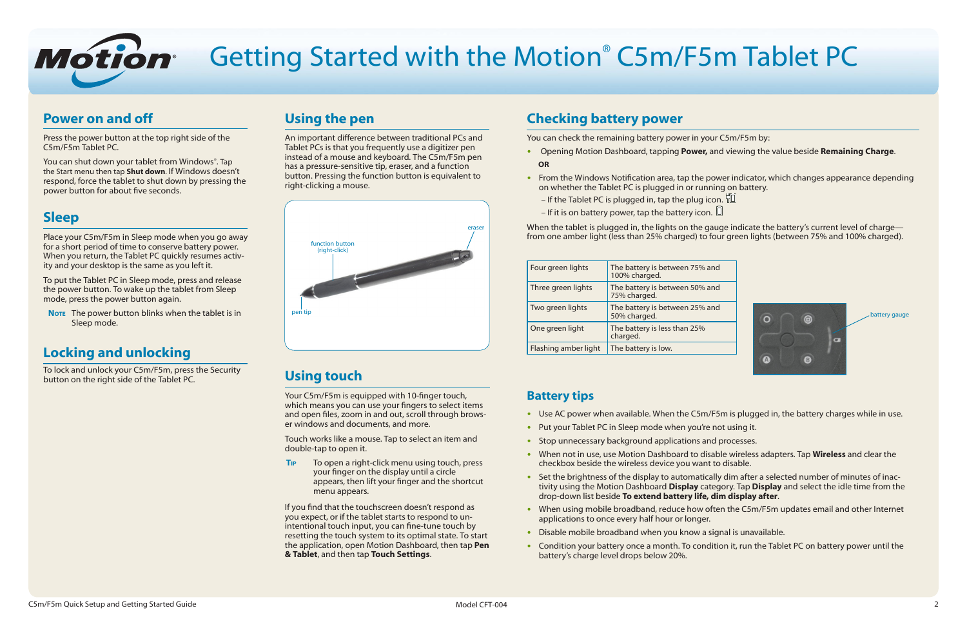| im Tablet PC                                                                                              |
|-----------------------------------------------------------------------------------------------------------|
|                                                                                                           |
| ur C5m/F5m by:<br>and viewing the value beside Remaining Charge.                                          |
| ower indicator, which changes appearance depending<br>ning on battery.<br>con. "回<br>). 回                 |
| auge indicate the battery's current level of charge—<br>four green lights (between 75% and 100% charged). |





# Getting Started with the Motion® C5m/F5m Tablet PC

### **Power on and off**

Press the power button at the top right side of the C5m/F5m Tablet PC.

You can shut down your tablet from Windows®. Tap the Start menu then tap **Shut down**. If Windows doesn't respond, force the tablet to shut down by pressing the power button for about five seconds.

### **Sleep**

**NOTE** The power button blinks when the tablet is in Sleep mode.

Place your C5m/F5m in Sleep mode when you go away for a short period of time to conserve battery power. When you return, the Tablet PC quickly resumes activity and your desktop is the same as you left it.

To put the Tablet PC in Sleep mode, press and release the power button. To wake up the tablet from Sleep mode, press the power button again.

## **Locking and unlocking**

To lock and unlock your C5m/F5m, press the Security button on the right side of the Tablet PC.

## **Using the pen**

An important difference between traditional PCs and Tablet PCs is that you frequently use a digitizer pen instead of a mouse and keyboard. The C5m/F5m pen has a pressure-sensitive tip, eraser, and a function button. Pressing the function button is equivalent to right-clicking a mouse.

- Opening Motion Dashboard, tapping Power,  **OR**
- From the Windows Notification area, tap the power on whether the Tablet PC is plugged in or runing
	- $-$  If the Tablet PC is plugged in, tap the plug io.
	- If it is on battery power, tap the battery icon.

When the tablet is plugged in, the lights on the g from one amber light (less than 25% charged) to

## **Using touch**

Your C5m/F5m is equipped with 10-finger touch, which means you can use your fingers to select items and open files, zoom in and out, scroll through browser windows and documents, and more.

Touch works like a mouse. Tap to select an item and double-tap to open it.

**Tip** To open a right-click menu using touch, press your finger on the display until a circle appears, then lift your finger and the shortcut menu appears.

If you find that the touchscreen doesn't respond as you expect, or if the tablet starts to respond to unintentional touch input, you can fine-tune touch by resetting the touch system to its optimal state. To start the application, open Motion Dashboard, then tap **Pen & Tablet**, and then tap **Touch Settings**.

- Use AC power when available. When the C5m/F5m is plugged in, the battery charges while in use.
- Put your Tablet PC in Sleep mode when you're not using it.
- Stop unnecessary background applications and processes.
- •• When not in use, use Motion Dashboard to disable wireless adapters. Tap **Wireless** and clear the checkbox beside the wireless device you want to disable.
- Set the brightness of the display to automatically dim after a selected number of minutes of inactivity using the Motion Dashboard **Display** category. Tap **Display** and select the idle time from the drop-down list beside **To extend battery life, dim display after**.
- When using mobile broadband, reduce how often the C5m/F5m updates email and other Internet applications to once every half hour or longer.
- Disable mobile broadband when you know a signal is unavailable.
- Condition your battery once a month. To condition it, run the Tablet PC on battery power until the battery's charge level drops below 20%.

### **Checking battery power**

You can check the remaining battery power in yo

| Four green lights    | The battery is between 75% and<br>100% charged. |
|----------------------|-------------------------------------------------|
| Three green lights   | The battery is between 50% and<br>75% charged.  |
| Two green lights     | The battery is between 25% and<br>50% charged.  |
| One green light      | The battery is less than 25%<br>charged.        |
| Flashing amber light | The battery is low.                             |

### **Battery tips**

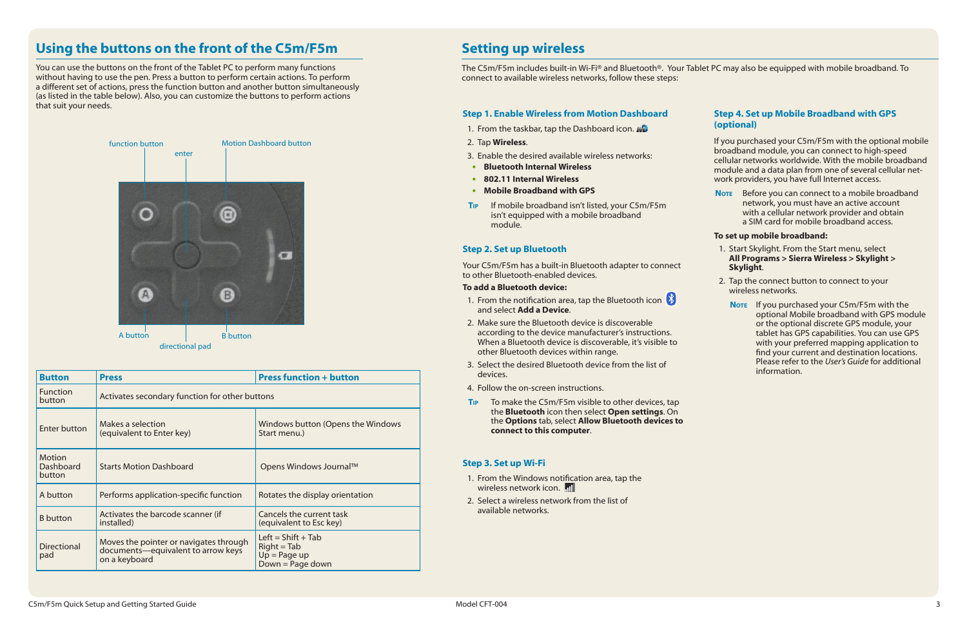### **Using the buttons on the front of the C5m/F5m**

You can use the buttons on the front of the Tablet PC to perform many functions without having to use the pen. Press a button to perform certain actions. To perform a different set of actions, press the function button and another button simultaneously (as listed in the table below). Also, you can customize the buttons to perform actions that suit your needs.



| <b>Button</b>                               | <b>Press</b>                                                                                           | <b>Press function + button</b>                                                |  |
|---------------------------------------------|--------------------------------------------------------------------------------------------------------|-------------------------------------------------------------------------------|--|
| <b>Function</b><br>button                   | Activates secondary function for other buttons                                                         |                                                                               |  |
| <b>Enter button</b>                         | Makes a selection<br>(equivalent to Enter key)                                                         | Windows button (Opens the Windows<br>Start menu.)                             |  |
| <b>Motion</b><br><b>Dashboard</b><br>button | <b>Starts Motion Dashboard</b>                                                                         | Opens Windows Journal™                                                        |  |
| A button                                    | Performs application-specific function                                                                 | Rotates the display orientation                                               |  |
| <b>B</b> button                             | Cancels the current task<br>Activates the barcode scanner (if<br>installed)<br>(equivalent to Esc key) |                                                                               |  |
| <b>Directional</b><br>pad                   | Moves the pointer or navigates through<br>documents-equivalent to arrow keys<br>on a keyboard          | Left = $Shift + Tab$<br>$Right = Tab$<br>$Up = Page up$<br>$Down = Page down$ |  |

**Note** Before you can connect to a mobile broadband network, you must have an active account with a cellular network provider and obtain a SIM card for mobile broadband access.

### **Setting up wireless**

The C5m/F5m includes built-in Wi-Fi® and Bluetooth®. Your Tablet PC may also be equipped with mobile broadband. To connect to available wireless networks, follow these steps:

- 1. From the taskbar, tap the Dashboard icon.
- 2. Tap **Wireless**.
- 3. Enable the desired available wireless networks:
- •• **Bluetooth Internal Wireless**
- •• **802.11 Internal Wireless**
- **Mobile Broadband with GPS**
- **Tip** If mobile broadband isn't listed, your C5m/F5m isn't equipped with a mobile broadband module.

#### **Step 4. Set up Mobile Broadband with GPS (optional)**

If you purchased your C5m/F5m with the optional mobile broadband module, you can connect to high-speed cellular networks worldwide. With the mobile broadband module and a data plan from one of several cellular network providers, you have full Internet access.

- 1. From the notification area, tap the Bluetooth icon and select **Add a Device**.
- 2. Make sure the Bluetooth device is discoverable according to the device manufacturer's instructions. When a Bluetooth device is discoverable, it's visible to other Bluetooth devices within range.
- 3. Select the desired Bluetooth device from the list of devices.
- 4. Follow the on-screen instructions.
- **T<sub>IP</sub>** To make the C5m/F5m visible to other devices, tap the **Bluetooth** icon then select **Open settings**. On the **Options** tab, select **Allow Bluetooth devices to connect to this computer**.

#### **To set up mobile broadband:**

- 1. Start Skylight. From the Start menu, select **All Programs > Sierra Wireless > Skylight > Skylight**.
- 2. Tap the connect button to connect to your wireless networks.
	- Note If you purchased your C5m/F5m with the optional Mobile broadband with GPS module or the optional discrete GPS module, your tablet has GPS capabilities. You can use GPS with your preferred mapping application to find your current and destination locations. Please refer to the *User's Guide* for additional information.

#### **Step 1. Enable Wireless from Motion Dashboard**

#### **Step 3. Set up Wi-Fi**

- 1. From the Windows notification area, tap the wireless network icon. **In**
- 2. Select a wireless network from the list of available networks.

#### **Step 2. Set up Bluetooth**

Your C5m/F5m has a built-in Bluetooth adapter to connect to other Bluetooth-enabled devices.

#### **To add a Bluetooth device:**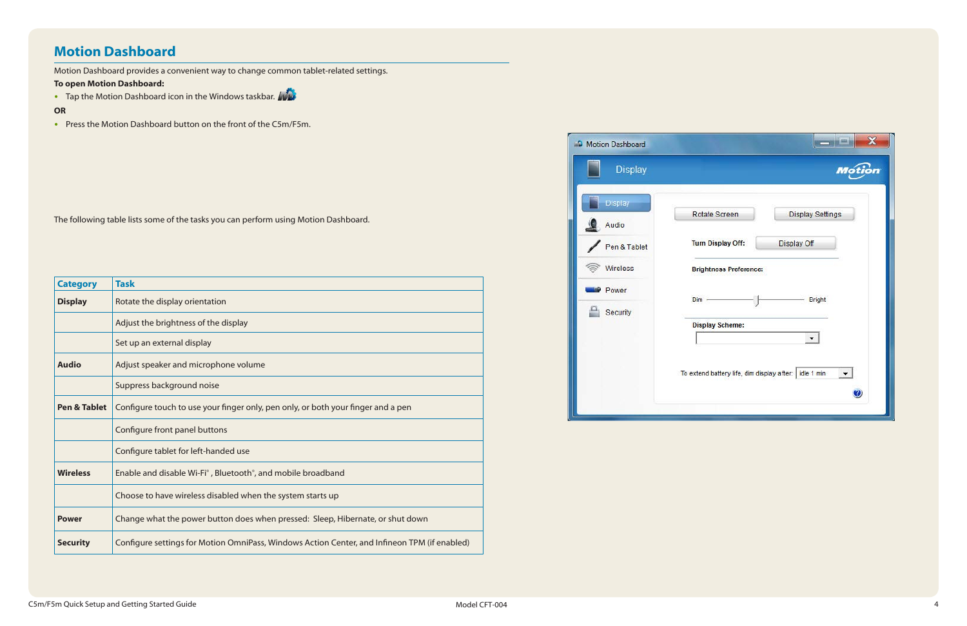### **Motion Dashboard**

Motion Dashboard provides a convenient way to change common tablet-related settings.

#### **To open Motion Dashboard:**

• Tap the Motion Dashboard icon in the Windows taskbar.

#### **OR**

• Press the Motion Dashboard button on the front of the C5m/F5m.

| <b>Category</b>         | <b>Task</b>                                                                                  |  |  |
|-------------------------|----------------------------------------------------------------------------------------------|--|--|
| <b>Display</b>          | Rotate the display orientation                                                               |  |  |
|                         | Adjust the brightness of the display                                                         |  |  |
|                         | Set up an external display                                                                   |  |  |
| <b>Audio</b>            | Adjust speaker and microphone volume                                                         |  |  |
|                         | Suppress background noise                                                                    |  |  |
| <b>Pen &amp; Tablet</b> | Configure touch to use your finger only, pen only, or both your finger and a pen             |  |  |
|                         | Configure front panel buttons                                                                |  |  |
|                         | Configure tablet for left-handed use                                                         |  |  |
| <b>Wireless</b>         | Enable and disable Wi-Fi <sup>®</sup> , Bluetooth <sup>®</sup> , and mobile broadband        |  |  |
|                         | Choose to have wireless disabled when the system starts up                                   |  |  |
| <b>Power</b>            | Change what the power button does when pressed: Sleep, Hibernate, or shut down               |  |  |
| <b>Security</b>         | Configure settings for Motion OmniPass, Windows Action Center, and Infineon TPM (if enabled) |  |  |



|                     | $\mathbf x$<br><b>The Contract</b>               |
|---------------------|--------------------------------------------------|
|                     | <b>Motion</b>                                    |
| e Screen            | <b>Display Settings</b>                          |
| <b>Display Off:</b> | Display Off                                      |
| tness Preference:   |                                                  |
|                     | <b>Bright</b>                                    |
| y Scheme:           |                                                  |
|                     | battery life, dim display after: idle 1 min<br>2 |
|                     |                                                  |

The following table lists some of the tasks you can perform using Motion Dashboard.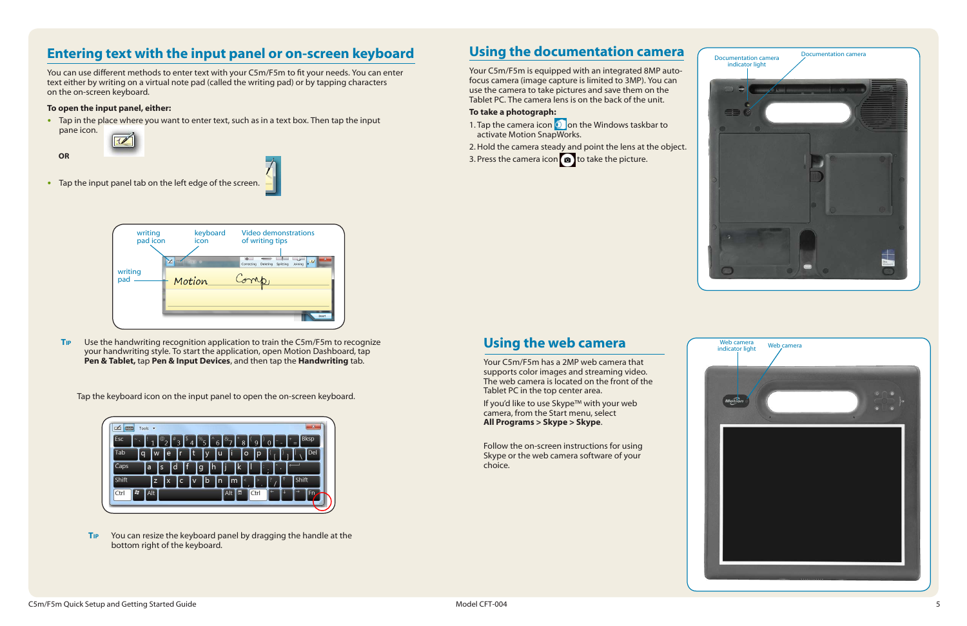### **Using the documentation camera**

Your C5m/F5m is equipped with an integrated 8MP autofocus camera (image capture is limited to 3MP). You can use the camera to take pictures and save them on the Tablet PC. The camera lens is on the back of the unit.

#### **To take a photograph:**

- 1. Tap the camera icon  $\Omega$  on the Windows taskbar to activate Motion SnapWorks.
- 2.Hold the camera steady and point the lens at the object.
- 3. Press the camera icon  $\bullet$  to take the picture.

### **Using the web camera**

Your C5m/F5m has a 2MP web camera that supports color images and streaming video. The web camera is located on the front of the Tablet PC in the top center area.

- Tap in the place where you want to enter text, such as in a text box. Then tap the input
	- pane icon.

If you'd like to use Skype™ with your web camera, from the Start menu, select **All Programs > Skype > Skype**.

Follow the on-screen instructions for using Skype or the web camera software of your choice.





### **Entering text with the input panel or on-screen keyboard**

You can use different methods to enter text with your C5m/F5m to fit your needs. You can enter text either by writing on a virtual note pad (called the writing pad) or by tapping characters on the on-screen keyboard.

#### **To open the input panel, either:**

 **OR**

• Tap the input panel tab on the left edge of the screen.

**Tip** Use the handwriting recognition application to train the C5m/F5m to recognize your handwriting style. To start the application, open Motion Dashboard, tap **Pen & Tablet,** tap **Pen & Input Devices**, and then tap the **Handwriting** tab.



Tap the keyboard icon on the input panel to open the on-screen keyboard.



**Tip** You can resize the keyboard panel by dragging the handle at the bottom right of the keyboard.